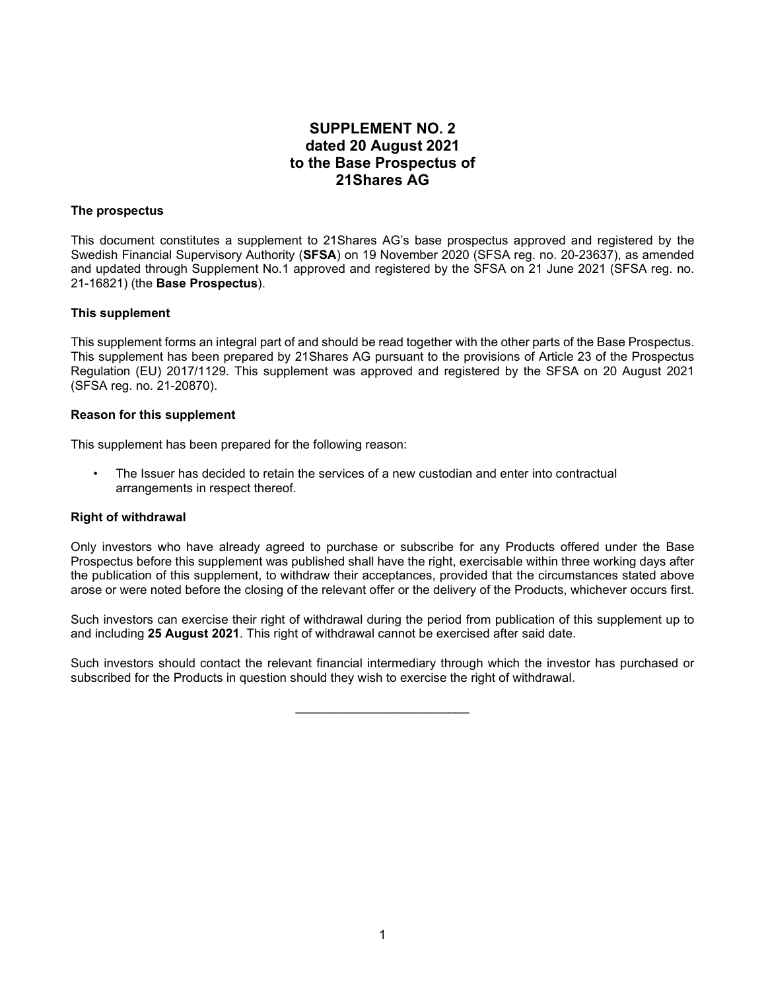# **SUPPLEMENT NO. 2 dated 20 August 2021 to the Base Prospectus of 21Shares AG**

# **The prospectus**

This document constitutes a supplement to 21Shares AG's base prospectus approved and registered by the Swedish Financial Supervisory Authority (**SFSA**) on 19 November 2020 (SFSA reg. no. 20-23637), as amended and updated through Supplement No.1 approved and registered by the SFSA on 21 June 2021 (SFSA reg. no. 21-16821) (the **Base Prospectus**).

## **This supplement**

This supplement forms an integral part of and should be read together with the other parts of the Base Prospectus. This supplement has been prepared by 21Shares AG pursuant to the provisions of Article 23 of the Prospectus Regulation (EU) 2017/1129. This supplement was approved and registered by the SFSA on 20 August 2021 (SFSA reg. no. 21-20870).

## **Reason for this supplement**

This supplement has been prepared for the following reason:

• The Issuer has decided to retain the services of a new custodian and enter into contractual arrangements in respect thereof.

## **Right of withdrawal**

Only investors who have already agreed to purchase or subscribe for any Products offered under the Base Prospectus before this supplement was published shall have the right, exercisable within three working days after the publication of this supplement, to withdraw their acceptances, provided that the circumstances stated above arose or were noted before the closing of the relevant offer or the delivery of the Products, whichever occurs first.

Such investors can exercise their right of withdrawal during the period from publication of this supplement up to and including **25 August 2021**. This right of withdrawal cannot be exercised after said date.

Such investors should contact the relevant financial intermediary through which the investor has purchased or subscribed for the Products in question should they wish to exercise the right of withdrawal.

\_\_\_\_\_\_\_\_\_\_\_\_\_\_\_\_\_\_\_\_\_\_\_\_\_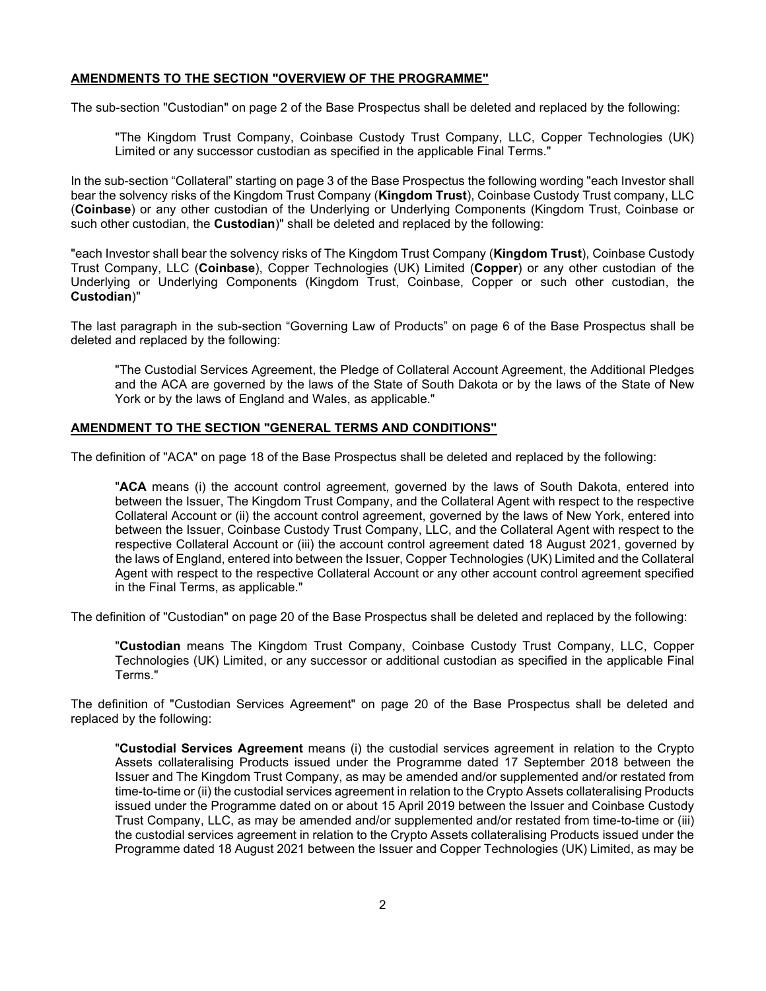# **AMENDMENTS TO THE SECTION "OVERVIEW OF THE PROGRAMME"**

The sub-section "Custodian" on page 2 of the Base Prospectus shall be deleted and replaced by the following:

"The Kingdom Trust Company, Coinbase Custody Trust Company, LLC, Copper Technologies (UK) Limited or any successor custodian as specified in the applicable Final Terms."

In the sub-section "Collateral" starting on page 3 of the Base Prospectus the following wording "each Investor shall bear the solvency risks of the Kingdom Trust Company (**Kingdom Trust**), Coinbase Custody Trust company, LLC (**Coinbase**) or any other custodian of the Underlying or Underlying Components (Kingdom Trust, Coinbase or such other custodian, the **Custodian**)" shall be deleted and replaced by the following:

"each Investor shall bear the solvency risks of The Kingdom Trust Company (**Kingdom Trust**), Coinbase Custody Trust Company, LLC (**Coinbase**), Copper Technologies (UK) Limited (**Copper**) or any other custodian of the Underlying or Underlying Components (Kingdom Trust, Coinbase, Copper or such other custodian, the **Custodian**)"

The last paragraph in the sub-section "Governing Law of Products" on page 6 of the Base Prospectus shall be deleted and replaced by the following:

"The Custodial Services Agreement, the Pledge of Collateral Account Agreement, the Additional Pledges and the ACA are governed by the laws of the State of South Dakota or by the laws of the State of New York or by the laws of England and Wales, as applicable."

## **AMENDMENT TO THE SECTION "GENERAL TERMS AND CONDITIONS"**

The definition of "ACA" on page 18 of the Base Prospectus shall be deleted and replaced by the following:

"**ACA** means (i) the account control agreement, governed by the laws of South Dakota, entered into between the Issuer, The Kingdom Trust Company, and the Collateral Agent with respect to the respective Collateral Account or (ii) the account control agreement, governed by the laws of New York, entered into between the Issuer, Coinbase Custody Trust Company, LLC, and the Collateral Agent with respect to the respective Collateral Account or (iii) the account control agreement dated 18 August 2021, governed by the laws of England, entered into between the Issuer, Copper Technologies (UK) Limited and the Collateral Agent with respect to the respective Collateral Account or any other account control agreement specified in the Final Terms, as applicable."

The definition of "Custodian" on page 20 of the Base Prospectus shall be deleted and replaced by the following:

"**Custodian** means The Kingdom Trust Company, Coinbase Custody Trust Company, LLC, Copper Technologies (UK) Limited, or any successor or additional custodian as specified in the applicable Final Terms."

The definition of "Custodian Services Agreement" on page 20 of the Base Prospectus shall be deleted and replaced by the following:

"**Custodial Services Agreement** means (i) the custodial services agreement in relation to the Crypto Assets collateralising Products issued under the Programme dated 17 September 2018 between the Issuer and The Kingdom Trust Company, as may be amended and/or supplemented and/or restated from time-to-time or (ii) the custodial services agreement in relation to the Crypto Assets collateralising Products issued under the Programme dated on or about 15 April 2019 between the Issuer and Coinbase Custody Trust Company, LLC, as may be amended and/or supplemented and/or restated from time-to-time or (iii) the custodial services agreement in relation to the Crypto Assets collateralising Products issued under the Programme dated 18 August 2021 between the Issuer and Copper Technologies (UK) Limited, as may be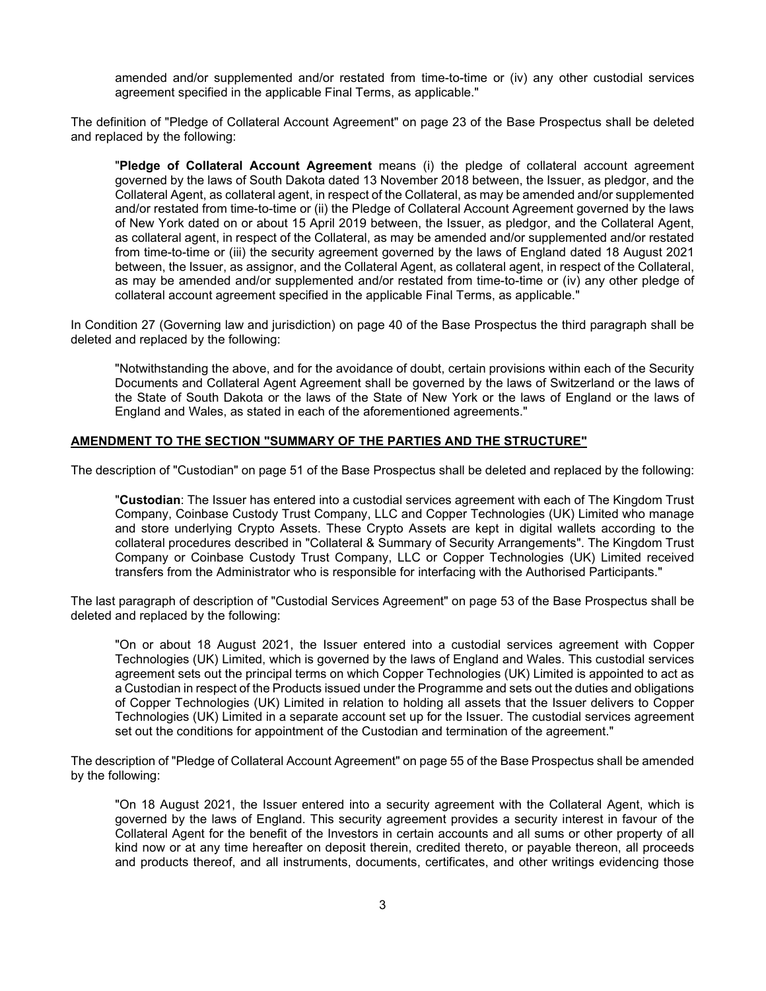amended and/or supplemented and/or restated from time-to-time or (iv) any other custodial services agreement specified in the applicable Final Terms, as applicable."

The definition of "Pledge of Collateral Account Agreement" on page 23 of the Base Prospectus shall be deleted and replaced by the following:

"**Pledge of Collateral Account Agreement** means (i) the pledge of collateral account agreement governed by the laws of South Dakota dated 13 November 2018 between, the Issuer, as pledgor, and the Collateral Agent, as collateral agent, in respect of the Collateral, as may be amended and/or supplemented and/or restated from time-to-time or (ii) the Pledge of Collateral Account Agreement governed by the laws of New York dated on or about 15 April 2019 between, the Issuer, as pledgor, and the Collateral Agent, as collateral agent, in respect of the Collateral, as may be amended and/or supplemented and/or restated from time-to-time or (iii) the security agreement governed by the laws of England dated 18 August 2021 between, the Issuer, as assignor, and the Collateral Agent, as collateral agent, in respect of the Collateral, as may be amended and/or supplemented and/or restated from time-to-time or (iv) any other pledge of collateral account agreement specified in the applicable Final Terms, as applicable."

In Condition 27 (Governing law and jurisdiction) on page 40 of the Base Prospectus the third paragraph shall be deleted and replaced by the following:

"Notwithstanding the above, and for the avoidance of doubt, certain provisions within each of the Security Documents and Collateral Agent Agreement shall be governed by the laws of Switzerland or the laws of the State of South Dakota or the laws of the State of New York or the laws of England or the laws of England and Wales, as stated in each of the aforementioned agreements."

## **AMENDMENT TO THE SECTION "SUMMARY OF THE PARTIES AND THE STRUCTURE"**

The description of "Custodian" on page 51 of the Base Prospectus shall be deleted and replaced by the following:

"**Custodian**: The Issuer has entered into a custodial services agreement with each of The Kingdom Trust Company, Coinbase Custody Trust Company, LLC and Copper Technologies (UK) Limited who manage and store underlying Crypto Assets. These Crypto Assets are kept in digital wallets according to the collateral procedures described in "Collateral & Summary of Security Arrangements". The Kingdom Trust Company or Coinbase Custody Trust Company, LLC or Copper Technologies (UK) Limited received transfers from the Administrator who is responsible for interfacing with the Authorised Participants."

The last paragraph of description of "Custodial Services Agreement" on page 53 of the Base Prospectus shall be deleted and replaced by the following:

"On or about 18 August 2021, the Issuer entered into a custodial services agreement with Copper Technologies (UK) Limited, which is governed by the laws of England and Wales. This custodial services agreement sets out the principal terms on which Copper Technologies (UK) Limited is appointed to act as a Custodian in respect of the Products issued under the Programme and sets out the duties and obligations of Copper Technologies (UK) Limited in relation to holding all assets that the Issuer delivers to Copper Technologies (UK) Limited in a separate account set up for the Issuer. The custodial services agreement set out the conditions for appointment of the Custodian and termination of the agreement."

The description of "Pledge of Collateral Account Agreement" on page 55 of the Base Prospectus shall be amended by the following:

"On 18 August 2021, the Issuer entered into a security agreement with the Collateral Agent, which is governed by the laws of England. This security agreement provides a security interest in favour of the Collateral Agent for the benefit of the Investors in certain accounts and all sums or other property of all kind now or at any time hereafter on deposit therein, credited thereto, or payable thereon, all proceeds and products thereof, and all instruments, documents, certificates, and other writings evidencing those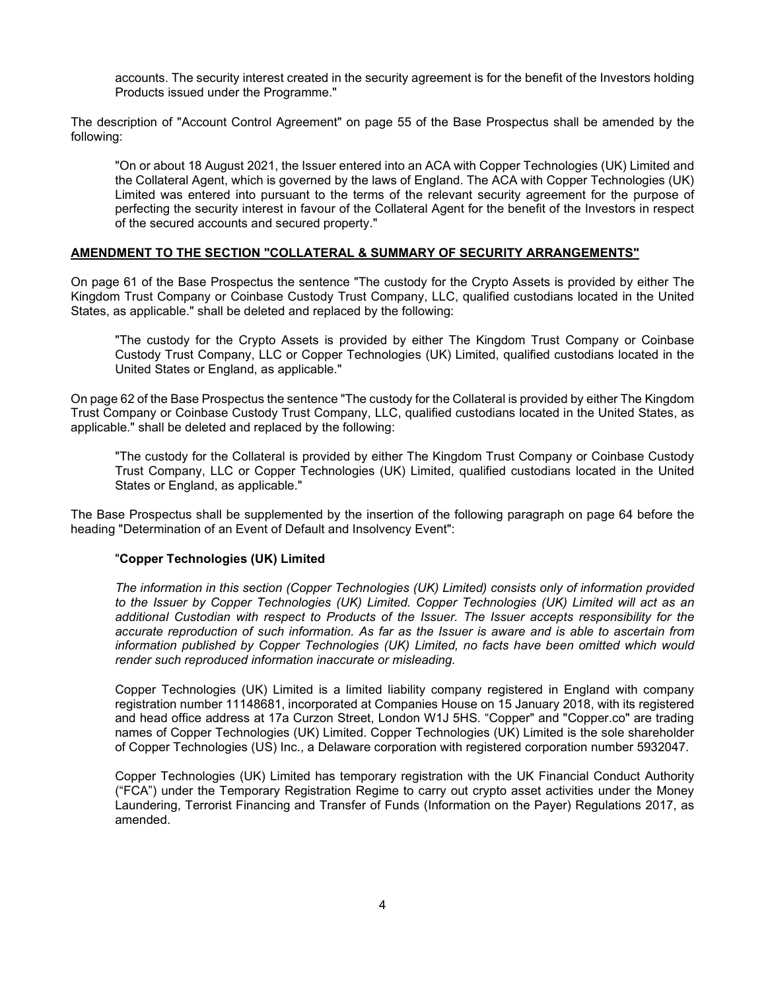accounts. The security interest created in the security agreement is for the benefit of the Investors holding Products issued under the Programme."

The description of "Account Control Agreement" on page 55 of the Base Prospectus shall be amended by the following:

"On or about 18 August 2021, the Issuer entered into an ACA with Copper Technologies (UK) Limited and the Collateral Agent, which is governed by the laws of England. The ACA with Copper Technologies (UK) Limited was entered into pursuant to the terms of the relevant security agreement for the purpose of perfecting the security interest in favour of the Collateral Agent for the benefit of the Investors in respect of the secured accounts and secured property."

#### **AMENDMENT TO THE SECTION "COLLATERAL & SUMMARY OF SECURITY ARRANGEMENTS"**

On page 61 of the Base Prospectus the sentence "The custody for the Crypto Assets is provided by either The Kingdom Trust Company or Coinbase Custody Trust Company, LLC, qualified custodians located in the United States, as applicable." shall be deleted and replaced by the following:

"The custody for the Crypto Assets is provided by either The Kingdom Trust Company or Coinbase Custody Trust Company, LLC or Copper Technologies (UK) Limited, qualified custodians located in the United States or England, as applicable."

On page 62 of the Base Prospectus the sentence "The custody for the Collateral is provided by either The Kingdom Trust Company or Coinbase Custody Trust Company, LLC, qualified custodians located in the United States, as applicable." shall be deleted and replaced by the following:

"The custody for the Collateral is provided by either The Kingdom Trust Company or Coinbase Custody Trust Company, LLC or Copper Technologies (UK) Limited, qualified custodians located in the United States or England, as applicable."

The Base Prospectus shall be supplemented by the insertion of the following paragraph on page 64 before the heading "Determination of an Event of Default and Insolvency Event":

#### "**Copper Technologies (UK) Limited**

*The information in this section (Copper Technologies (UK) Limited) consists only of information provided to the Issuer by Copper Technologies (UK) Limited. Copper Technologies (UK) Limited will act as an additional Custodian with respect to Products of the Issuer. The Issuer accepts responsibility for the accurate reproduction of such information. As far as the Issuer is aware and is able to ascertain from information published by Copper Technologies (UK) Limited, no facts have been omitted which would render such reproduced information inaccurate or misleading.*

Copper Technologies (UK) Limited is a limited liability company registered in England with company registration number 11148681, incorporated at Companies House on 15 January 2018, with its registered and head office address at 17a Curzon Street, London W1J 5HS. "Copper" and "Copper.co" are trading names of Copper Technologies (UK) Limited. Copper Technologies (UK) Limited is the sole shareholder of Copper Technologies (US) Inc., a Delaware corporation with registered corporation number 5932047.

Copper Technologies (UK) Limited has temporary registration with the UK Financial Conduct Authority ("FCA") under the Temporary Registration Regime to carry out crypto asset activities under the Money Laundering, Terrorist Financing and Transfer of Funds (Information on the Payer) Regulations 2017, as amended.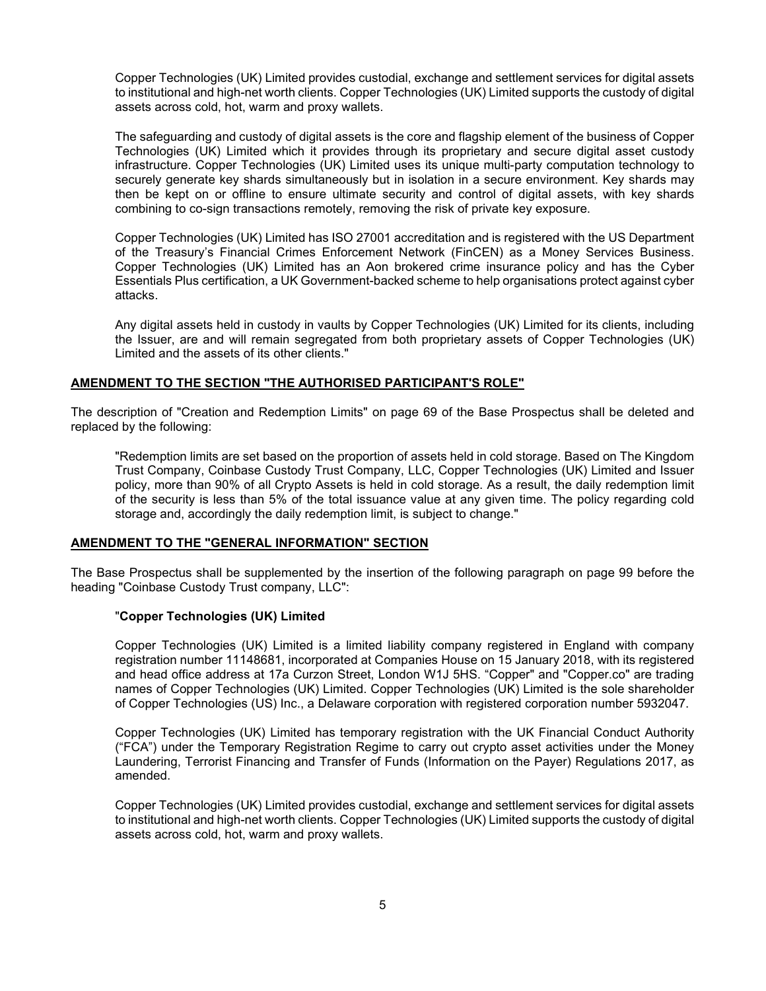Copper Technologies (UK) Limited provides custodial, exchange and settlement services for digital assets to institutional and high-net worth clients. Copper Technologies (UK) Limited supports the custody of digital assets across cold, hot, warm and proxy wallets.

The safeguarding and custody of digital assets is the core and flagship element of the business of Copper Technologies (UK) Limited which it provides through its proprietary and secure digital asset custody infrastructure. Copper Technologies (UK) Limited uses its unique multi-party computation technology to securely generate key shards simultaneously but in isolation in a secure environment. Key shards may then be kept on or offline to ensure ultimate security and control of digital assets, with key shards combining to co-sign transactions remotely, removing the risk of private key exposure.

Copper Technologies (UK) Limited has ISO 27001 accreditation and is registered with the US Department of the Treasury's Financial Crimes Enforcement Network (FinCEN) as a Money Services Business. Copper Technologies (UK) Limited has an Aon brokered crime insurance policy and has the Cyber Essentials Plus certification, a UK Government-backed scheme to help organisations protect against cyber attacks.

Any digital assets held in custody in vaults by Copper Technologies (UK) Limited for its clients, including the Issuer, are and will remain segregated from both proprietary assets of Copper Technologies (UK) Limited and the assets of its other clients."

#### **AMENDMENT TO THE SECTION "THE AUTHORISED PARTICIPANT'S ROLE"**

The description of "Creation and Redemption Limits" on page 69 of the Base Prospectus shall be deleted and replaced by the following:

"Redemption limits are set based on the proportion of assets held in cold storage. Based on The Kingdom Trust Company, Coinbase Custody Trust Company, LLC, Copper Technologies (UK) Limited and Issuer policy, more than 90% of all Crypto Assets is held in cold storage. As a result, the daily redemption limit of the security is less than 5% of the total issuance value at any given time. The policy regarding cold storage and, accordingly the daily redemption limit, is subject to change."

# **AMENDMENT TO THE "GENERAL INFORMATION" SECTION**

The Base Prospectus shall be supplemented by the insertion of the following paragraph on page 99 before the heading "Coinbase Custody Trust company, LLC":

#### "**Copper Technologies (UK) Limited**

Copper Technologies (UK) Limited is a limited liability company registered in England with company registration number 11148681, incorporated at Companies House on 15 January 2018, with its registered and head office address at 17a Curzon Street, London W1J 5HS. "Copper" and "Copper.co" are trading names of Copper Technologies (UK) Limited. Copper Technologies (UK) Limited is the sole shareholder of Copper Technologies (US) Inc., a Delaware corporation with registered corporation number 5932047.

Copper Technologies (UK) Limited has temporary registration with the UK Financial Conduct Authority ("FCA") under the Temporary Registration Regime to carry out crypto asset activities under the Money Laundering, Terrorist Financing and Transfer of Funds (Information on the Payer) Regulations 2017, as amended.

Copper Technologies (UK) Limited provides custodial, exchange and settlement services for digital assets to institutional and high-net worth clients. Copper Technologies (UK) Limited supports the custody of digital assets across cold, hot, warm and proxy wallets.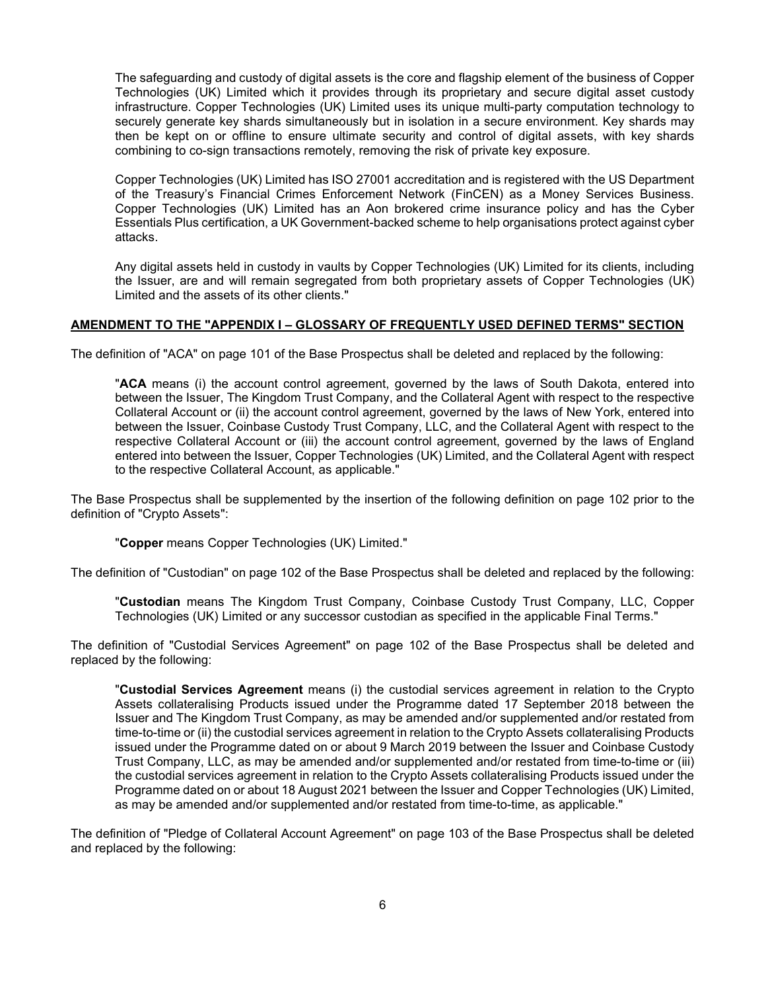The safeguarding and custody of digital assets is the core and flagship element of the business of Copper Technologies (UK) Limited which it provides through its proprietary and secure digital asset custody infrastructure. Copper Technologies (UK) Limited uses its unique multi-party computation technology to securely generate key shards simultaneously but in isolation in a secure environment. Key shards may then be kept on or offline to ensure ultimate security and control of digital assets, with key shards combining to co-sign transactions remotely, removing the risk of private key exposure.

Copper Technologies (UK) Limited has ISO 27001 accreditation and is registered with the US Department of the Treasury's Financial Crimes Enforcement Network (FinCEN) as a Money Services Business. Copper Technologies (UK) Limited has an Aon brokered crime insurance policy and has the Cyber Essentials Plus certification, a UK Government-backed scheme to help organisations protect against cyber attacks.

Any digital assets held in custody in vaults by Copper Technologies (UK) Limited for its clients, including the Issuer, are and will remain segregated from both proprietary assets of Copper Technologies (UK) Limited and the assets of its other clients."

# **AMENDMENT TO THE "APPENDIX I – GLOSSARY OF FREQUENTLY USED DEFINED TERMS" SECTION**

The definition of "ACA" on page 101 of the Base Prospectus shall be deleted and replaced by the following:

"**ACA** means (i) the account control agreement, governed by the laws of South Dakota, entered into between the Issuer, The Kingdom Trust Company, and the Collateral Agent with respect to the respective Collateral Account or (ii) the account control agreement, governed by the laws of New York, entered into between the Issuer, Coinbase Custody Trust Company, LLC, and the Collateral Agent with respect to the respective Collateral Account or (iii) the account control agreement, governed by the laws of England entered into between the Issuer, Copper Technologies (UK) Limited, and the Collateral Agent with respect to the respective Collateral Account, as applicable."

The Base Prospectus shall be supplemented by the insertion of the following definition on page 102 prior to the definition of "Crypto Assets":

"**Copper** means Copper Technologies (UK) Limited."

The definition of "Custodian" on page 102 of the Base Prospectus shall be deleted and replaced by the following:

"**Custodian** means The Kingdom Trust Company, Coinbase Custody Trust Company, LLC, Copper Technologies (UK) Limited or any successor custodian as specified in the applicable Final Terms."

The definition of "Custodial Services Agreement" on page 102 of the Base Prospectus shall be deleted and replaced by the following:

"**Custodial Services Agreement** means (i) the custodial services agreement in relation to the Crypto Assets collateralising Products issued under the Programme dated 17 September 2018 between the Issuer and The Kingdom Trust Company, as may be amended and/or supplemented and/or restated from time-to-time or (ii) the custodial services agreement in relation to the Crypto Assets collateralising Products issued under the Programme dated on or about 9 March 2019 between the Issuer and Coinbase Custody Trust Company, LLC, as may be amended and/or supplemented and/or restated from time-to-time or (iii) the custodial services agreement in relation to the Crypto Assets collateralising Products issued under the Programme dated on or about 18 August 2021 between the Issuer and Copper Technologies (UK) Limited, as may be amended and/or supplemented and/or restated from time-to-time, as applicable."

The definition of "Pledge of Collateral Account Agreement" on page 103 of the Base Prospectus shall be deleted and replaced by the following: